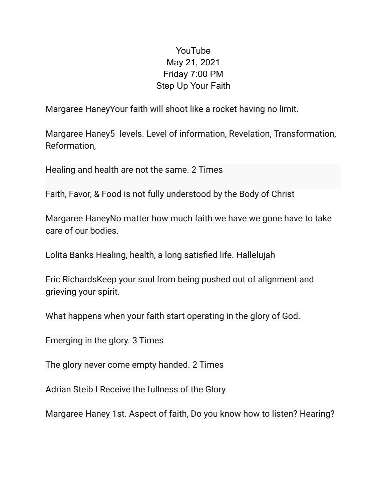## YouTube May 21, 2021 Friday 7:00 PM Step Up Your Faith

Margaree HaneyYour faith will shoot like a rocket having no limit.

Margaree Haney5- levels. Level of information, Revelation, Transformation, Reformation,

Healing and health are not the same. 2 Times

Faith, Favor, & Food is not fully understood by the Body of Christ

Margaree HaneyNo matter how much faith we have we gone have to take care of our bodies.

Lolita Banks Healing, health, a long satisfied life. Hallelujah

Eric RichardsKeep your soul from being pushed out of alignment and grieving your spirit.

What happens when your faith start operating in the glory of God.

Emerging in the glory. 3 Times

The glory never come empty handed. 2 Times

Adrian Steib I Receive the fullness of the Glory

Margaree Haney 1st. Aspect of faith, Do you know how to listen? Hearing?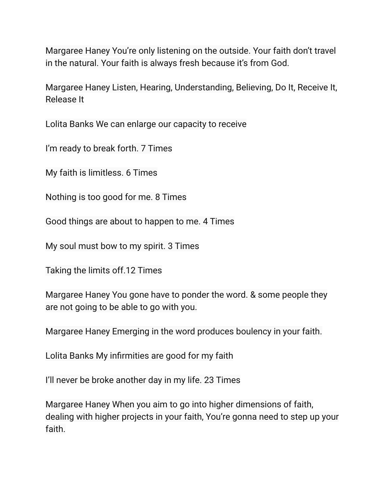Margaree Haney You're only listening on the outside. Your faith don't travel in the natural. Your faith is always fresh because it's from God.

Margaree Haney Listen, Hearing, Understanding, Believing, Do It, Receive It, Release It

Lolita Banks We can enlarge our capacity to receive

I'm ready to break forth. 7 Times

My faith is limitless. 6 Times

Nothing is too good for me. 8 Times

Good things are about to happen to me. 4 Times

My soul must bow to my spirit. 3 Times

Taking the limits off.12 Times

Margaree Haney You gone have to ponder the word. & some people they are not going to be able to go with you.

Margaree Haney Emerging in the word produces boulency in your faith.

Lolita Banks My infirmities are good for my faith

I'll never be broke another day in my life. 23 Times

Margaree Haney When you aim to go into higher dimensions of faith, dealing with higher projects in your faith, You're gonna need to step up your faith.